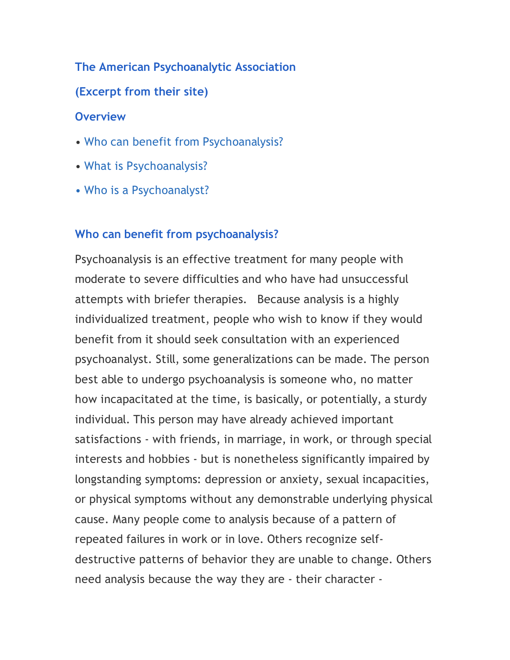### **The American Psychoanalytic Association**

**(Excerpt from their site)**

### **Overview**

- Who can benefit from Psychoanalysis?
- What is Psychoanalysis?
- Who is a Psychoanalyst?

## **Who can benefit from psychoanalysis?**

Psychoanalysis is an effective treatment for many people with moderate to severe difficulties and who have had unsuccessful attempts with briefer therapies. Because analysis is a highly individualized treatment, people who wish to know if they would benefit from it should seek consultation with an experienced psychoanalyst. Still, some generalizations can be made. The person best able to undergo psychoanalysis is someone who, no matter how incapacitated at the time, is basically, or potentially, a sturdy individual. This person may have already achieved important satisfactions - with friends, in marriage, in work, or through special interests and hobbies - but is nonetheless significantly impaired by longstanding symptoms: depression or anxiety, sexual incapacities, or physical symptoms without any demonstrable underlying physical cause. Many people come to analysis because of a pattern of repeated failures in work or in love. Others recognize selfdestructive patterns of behavior they are unable to change. Others need analysis because the way they are - their character -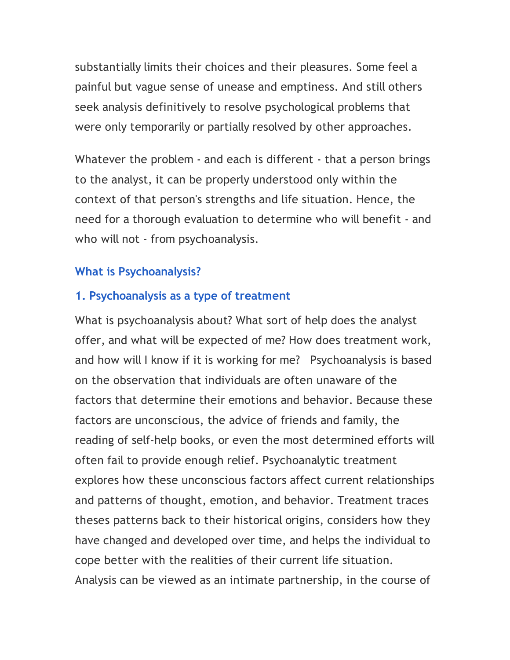substantially limits their choices and their pleasures. Some feel a painful but vague sense of unease and emptiness. And still others seek analysis definitively to resolve psychological problems that were only temporarily or partially resolved by other approaches.

Whatever the problem - and each is different - that a person brings to the analyst, it can be properly understood only within the context of that person's strengths and life situation. Hence, the need for a thorough evaluation to determine who will benefit - and who will not - from psychoanalysis.

# **What is Psychoanalysis?**

## **1. Psychoanalysis as a type of treatment**

What is psychoanalysis about? What sort of help does the analyst offer, and what will be expected of me? How does treatment work, and how will I know if it is working for me? Psychoanalysis is based on the observation that individuals are often unaware of the factors that determine their emotions and behavior. Because these factors are unconscious, the advice of friends and family, the reading of self-help books, or even the most determined efforts will often fail to provide enough relief. Psychoanalytic treatment explores how these unconscious factors affect current relationships and patterns of thought, emotion, and behavior. Treatment traces theses patterns back to their historical origins, considers how they have changed and developed over time, and helps the individual to cope better with the realities of their current life situation. Analysis can be viewed as an intimate partnership, in the course of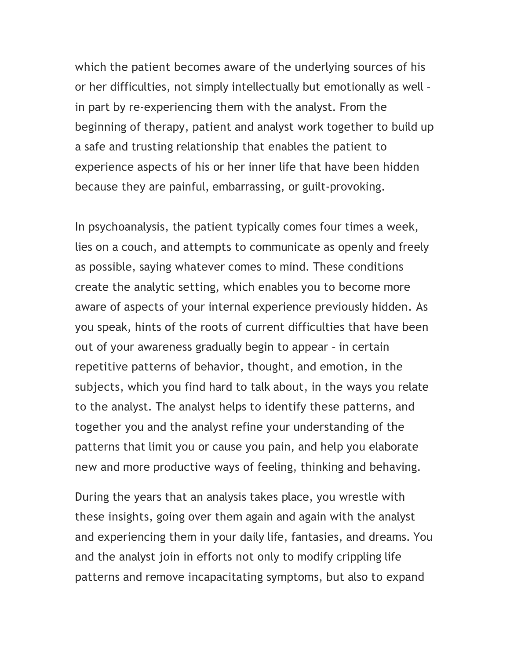which the patient becomes aware of the underlying sources of his or her difficulties, not simply intellectually but emotionally as well – in part by re-experiencing them with the analyst. From the beginning of therapy, patient and analyst work together to build up a safe and trusting relationship that enables the patient to experience aspects of his or her inner life that have been hidden because they are painful, embarrassing, or guilt-provoking.

In psychoanalysis, the patient typically comes four times a week, lies on a couch, and attempts to communicate as openly and freely as possible, saying whatever comes to mind. These conditions create the analytic setting, which enables you to become more aware of aspects of your internal experience previously hidden. As you speak, hints of the roots of current difficulties that have been out of your awareness gradually begin to appear – in certain repetitive patterns of behavior, thought, and emotion, in the subjects, which you find hard to talk about, in the ways you relate to the analyst. The analyst helps to identify these patterns, and together you and the analyst refine your understanding of the patterns that limit you or cause you pain, and help you elaborate new and more productive ways of feeling, thinking and behaving.

During the years that an analysis takes place, you wrestle with these insights, going over them again and again with the analyst and experiencing them in your daily life, fantasies, and dreams. You and the analyst join in efforts not only to modify crippling life patterns and remove incapacitating symptoms, but also to expand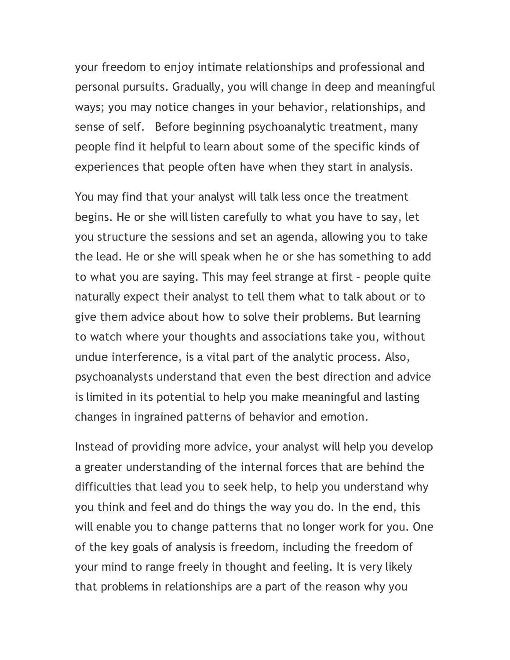your freedom to enjoy intimate relationships and professional and personal pursuits. Gradually, you will change in deep and meaningful ways; you may notice changes in your behavior, relationships, and sense of self. Before beginning psychoanalytic treatment, many people find it helpful to learn about some of the specific kinds of experiences that people often have when they start in analysis.

You may find that your analyst will talk less once the treatment begins. He or she will listen carefully to what you have to say, let you structure the sessions and set an agenda, allowing you to take the lead. He or she will speak when he or she has something to add to what you are saying. This may feel strange at first – people quite naturally expect their analyst to tell them what to talk about or to give them advice about how to solve their problems. But learning to watch where your thoughts and associations take you, without undue interference, is a vital part of the analytic process. Also, psychoanalysts understand that even the best direction and advice is limited in its potential to help you make meaningful and lasting changes in ingrained patterns of behavior and emotion.

Instead of providing more advice, your analyst will help you develop a greater understanding of the internal forces that are behind the difficulties that lead you to seek help, to help you understand why you think and feel and do things the way you do. In the end, this will enable you to change patterns that no longer work for you. One of the key goals of analysis is freedom, including the freedom of your mind to range freely in thought and feeling. It is very likely that problems in relationships are a part of the reason why you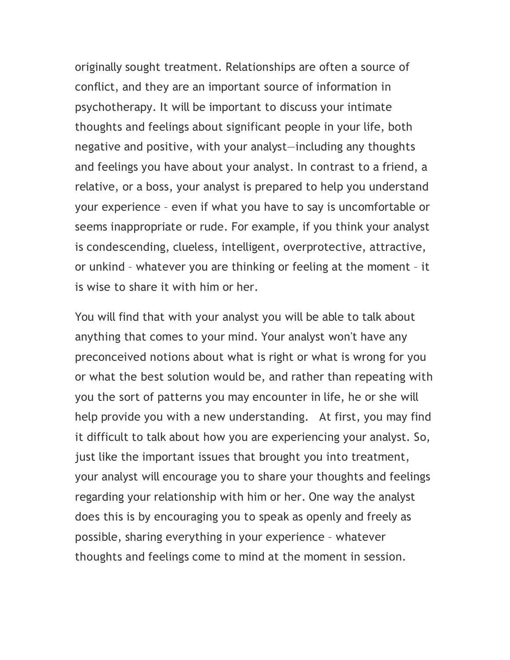originally sought treatment. Relationships are often a source of conflict, and they are an important source of information in psychotherapy. It will be important to discuss your intimate thoughts and feelings about significant people in your life, both negative and positive, with your analyst—including any thoughts and feelings you have about your analyst. In contrast to a friend, a relative, or a boss, your analyst is prepared to help you understand your experience – even if what you have to say is uncomfortable or seems inappropriate or rude. For example, if you think your analyst is condescending, clueless, intelligent, overprotective, attractive, or unkind – whatever you are thinking or feeling at the moment – it is wise to share it with him or her.

You will find that with your analyst you will be able to talk about anything that comes to your mind. Your analyst won't have any preconceived notions about what is right or what is wrong for you or what the best solution would be, and rather than repeating with you the sort of patterns you may encounter in life, he or she will help provide you with a new understanding. At first, you may find it difficult to talk about how you are experiencing your analyst. So, just like the important issues that brought you into treatment, your analyst will encourage you to share your thoughts and feelings regarding your relationship with him or her. One way the analyst does this is by encouraging you to speak as openly and freely as possible, sharing everything in your experience – whatever thoughts and feelings come to mind at the moment in session.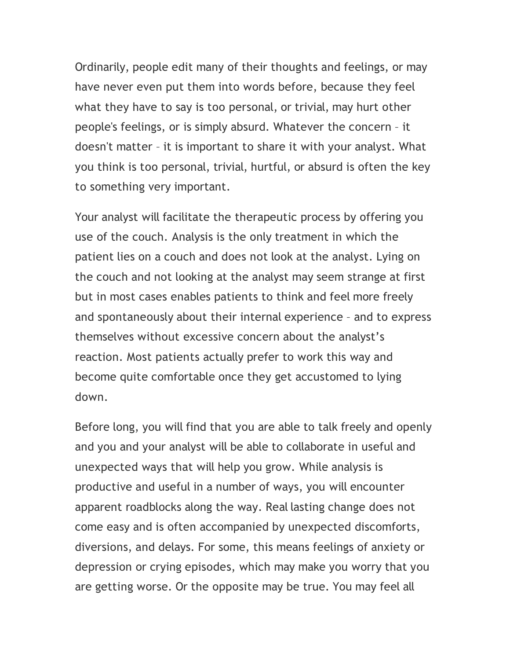Ordinarily, people edit many of their thoughts and feelings, or may have never even put them into words before, because they feel what they have to say is too personal, or trivial, may hurt other people's feelings, or is simply absurd. Whatever the concern – it doesn't matter – it is important to share it with your analyst. What you think is too personal, trivial, hurtful, or absurd is often the key to something very important.

Your analyst will facilitate the therapeutic process by offering you use of the couch. Analysis is the only treatment in which the patient lies on a couch and does not look at the analyst. Lying on the couch and not looking at the analyst may seem strange at first but in most cases enables patients to think and feel more freely and spontaneously about their internal experience – and to express themselves without excessive concern about the analyst's reaction. Most patients actually prefer to work this way and become quite comfortable once they get accustomed to lying down.

Before long, you will find that you are able to talk freely and openly and you and your analyst will be able to collaborate in useful and unexpected ways that will help you grow. While analysis is productive and useful in a number of ways, you will encounter apparent roadblocks along the way. Real lasting change does not come easy and is often accompanied by unexpected discomforts, diversions, and delays. For some, this means feelings of anxiety or depression or crying episodes, which may make you worry that you are getting worse. Or the opposite may be true. You may feel all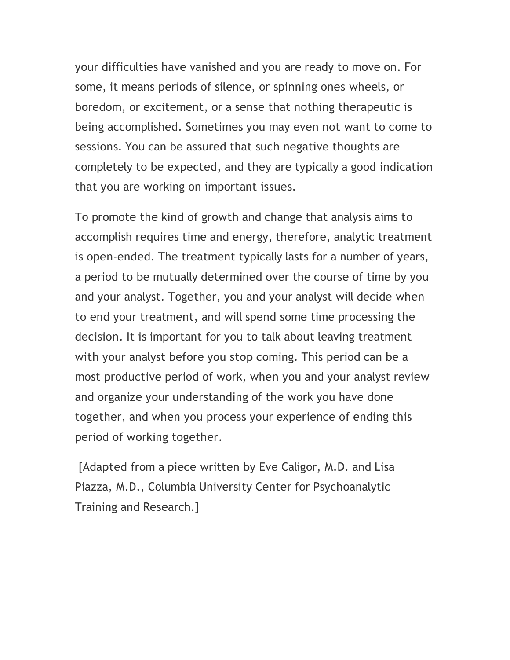your difficulties have vanished and you are ready to move on. For some, it means periods of silence, or spinning ones wheels, or boredom, or excitement, or a sense that nothing therapeutic is being accomplished. Sometimes you may even not want to come to sessions. You can be assured that such negative thoughts are completely to be expected, and they are typically a good indication that you are working on important issues.

To promote the kind of growth and change that analysis aims to accomplish requires time and energy, therefore, analytic treatment is open-ended. The treatment typically lasts for a number of years, a period to be mutually determined over the course of time by you and your analyst. Together, you and your analyst will decide when to end your treatment, and will spend some time processing the decision. It is important for you to talk about leaving treatment with your analyst before you stop coming. This period can be a most productive period of work, when you and your analyst review and organize your understanding of the work you have done together, and when you process your experience of ending this period of working together.

 [Adapted from a piece written by Eve Caligor, M.D. and Lisa Piazza, M.D., Columbia University Center for Psychoanalytic Training and Research.]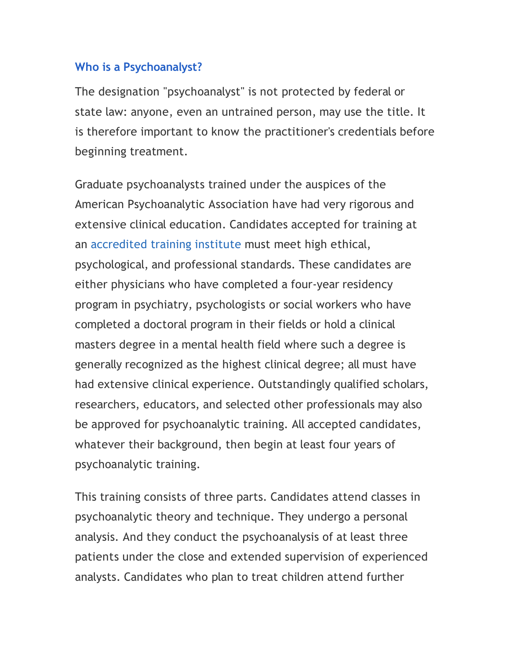### **Who is a Psychoanalyst?**

The designation "psychoanalyst" is not protected by federal or state law: anyone, even an untrained person, may use the title. It is therefore important to know the practitioner's credentials before beginning treatment.

Graduate psychoanalysts trained under the auspices of the American Psychoanalytic Association have had very rigorous and extensive clinical education. Candidates accepted for training at an accredited training institute must meet high ethical, psychological, and professional standards. These candidates are either physicians who have completed a four-year residency program in psychiatry, psychologists or social workers who have completed a doctoral program in their fields or hold a clinical masters degree in a mental health field where such a degree is generally recognized as the highest clinical degree; all must have had extensive clinical experience. Outstandingly qualified scholars, researchers, educators, and selected other professionals may also be approved for psychoanalytic training. All accepted candidates, whatever their background, then begin at least four years of psychoanalytic training.

This training consists of three parts. Candidates attend classes in psychoanalytic theory and technique. They undergo a personal analysis. And they conduct the psychoanalysis of at least three patients under the close and extended supervision of experienced analysts. Candidates who plan to treat children attend further